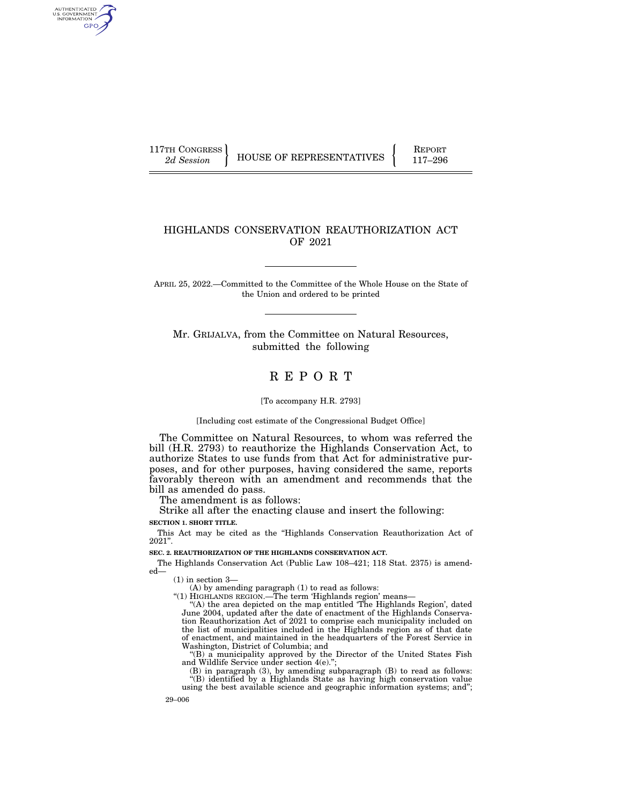AUTHENTICATED<br>U.S. GOVERNMENT<br>INFORMATION GPO

117TH CONGRESS HOUSE OF REPRESENTATIVES FEPORT 117-296

# HIGHLANDS CONSERVATION REAUTHORIZATION ACT OF 2021

APRIL 25, 2022.—Committed to the Committee of the Whole House on the State of the Union and ordered to be printed

Mr. GRIJALVA, from the Committee on Natural Resources, submitted the following

# R E P O R T

[To accompany H.R. 2793]

[Including cost estimate of the Congressional Budget Office]

The Committee on Natural Resources, to whom was referred the bill (H.R. 2793) to reauthorize the Highlands Conservation Act, to authorize States to use funds from that Act for administrative purposes, and for other purposes, having considered the same, reports favorably thereon with an amendment and recommends that the bill as amended do pass.

The amendment is as follows:

Strike all after the enacting clause and insert the following: **SECTION 1. SHORT TITLE.** 

This Act may be cited as the ''Highlands Conservation Reauthorization Act of 2021''.

**SEC. 2. REAUTHORIZATION OF THE HIGHLANDS CONSERVATION ACT.** 

The Highlands Conservation Act (Public Law 108–421; 118 Stat. 2375) is amended—

(1) in section 3—

(A) by amending paragraph (1) to read as follows:

''(1) HIGHLANDS REGION.—The term 'Highlands region' means—

"(A) the area depicted on the map entitled 'The Highlands Region', dated June 2004, updated after the date of enactment of the Highlands Conservation Reauthorization Act of 2021 to comprise each municipality included on the list of municipalities included in the Highlands region as of that date of enactment, and maintained in the headquarters of the Forest Service in Washington, District of Columbia; and

''(B) a municipality approved by the Director of the United States Fish and Wildlife Service under section 4(e).'';

(B) in paragraph (3), by amending subparagraph (B) to read as follows: ''(B) identified by a Highlands State as having high conservation value

using the best available science and geographic information systems; and'';

29–006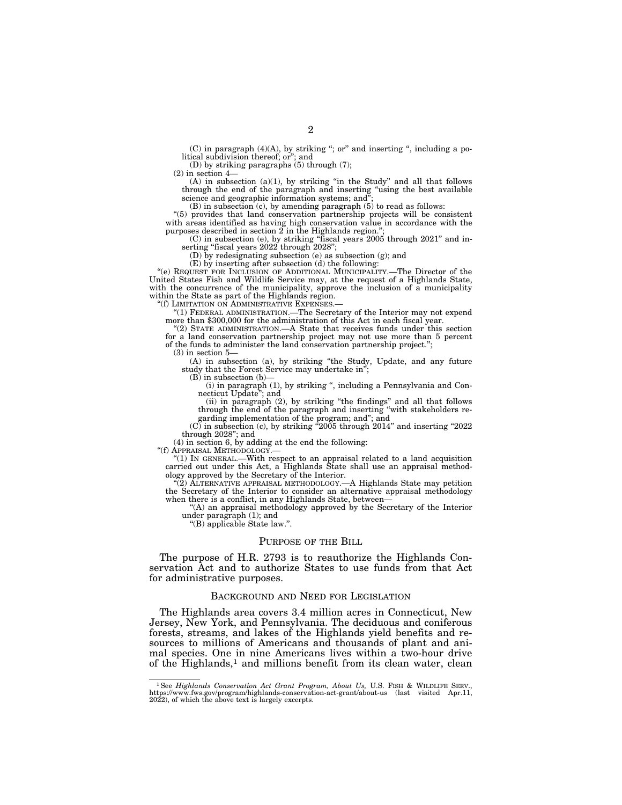(C) in paragraph (4)(A), by striking ''; or'' and inserting '', including a political subdivision thereof; or''; and

(D) by striking paragraphs (5) through (7);

(2) in section 4—

 $(A)$  in subsection  $(a)(1)$ , by striking "in the Study" and all that follows through the end of the paragraph and inserting ''using the best available science and geographic information systems; and

 $(B)$  in subsection  $(c)$ , by amending paragraph  $(5)$  to read as follows:

''(5) provides that land conservation partnership projects will be consistent with areas identified as having high conservation value in accordance with the purposes described in section 2 in the Highlands region.'';

(C) in subsection (e), by striking ''fiscal years 2005 through 2021'' and inserting "fiscal years 2022 through 2028";

(D) by redesignating subsection (e) as subsection (g); and

(E) by inserting after subsection (d) the following:

''(e) REQUEST FOR INCLUSION OF ADDITIONAL MUNICIPALITY.—The Director of the United States Fish and Wildlife Service may, at the request of a Highlands State, with the concurrence of the municipality, approve the inclusion of a municipality within the State as part of the Highlands region.

''(f) LIMITATION ON ADMINISTRATIVE EXPENSES.—

''(1) FEDERAL ADMINISTRATION.—The Secretary of the Interior may not expend more than \$300,000 for the administration of this Act in each fiscal year.

''(2) STATE ADMINISTRATION.—A State that receives funds under this section for a land conservation partnership project may not use more than 5 percent of the funds to administer the land conservation partnership project.'';

(3) in section 5—

(A) in subsection (a), by striking ''the Study, Update, and any future study that the Forest Service may undertake in'';

 $(B)$  in subsection  $(b)$ -

(i) in paragraph (1), by striking '', including a Pennsylvania and Connecticut Update''; and

(ii) in paragraph (2), by striking ''the findings'' and all that follows through the end of the paragraph and inserting ''with stakeholders regarding implementation of the program; and''; and

 $(C)$  in subsection  $(c)$ , by striking  $^{\alpha}2005$  through 2014" and inserting  $^{\alpha}2022$ through 2028''; and

(4) in section 6, by adding at the end the following:

''(f) APPRAISAL METHODOLOGY.—

" $(1)$  IN GENERAL.—With respect to an appraisal related to a land acquisition carried out under this Act, a Highlands State shall use an appraisal methodology approved by the Secretary of the Interior.

 $(2)$  ALTERNATIVE APPRAISAL METHODOLOGY.—A Highlands State may petition the Secretary of the Interior to consider an alternative appraisal methodology when there is a conflict, in any Highlands State, between—

''(A) an appraisal methodology approved by the Secretary of the Interior under paragraph (1); and

''(B) applicable State law.''.

#### PURPOSE OF THE BILL

The purpose of H.R. 2793 is to reauthorize the Highlands Conservation Act and to authorize States to use funds from that Act for administrative purposes.

#### BACKGROUND AND NEED FOR LEGISLATION

The Highlands area covers 3.4 million acres in Connecticut, New Jersey, New York, and Pennsylvania. The deciduous and coniferous forests, streams, and lakes of the Highlands yield benefits and resources to millions of Americans and thousands of plant and animal species. One in nine Americans lives within a two-hour drive of the Highlands,<sup>1</sup> and millions benefit from its clean water, clean

<sup>&</sup>lt;sup>1</sup>See Highlands Conservation Act Grant Program, About Us, U.S. FISH & WILDLIFE SERV., https://www.fws.gov/program/highlands-conservation-act-grant/about-us (last visited Apr.11, 2022), of which the above text is largely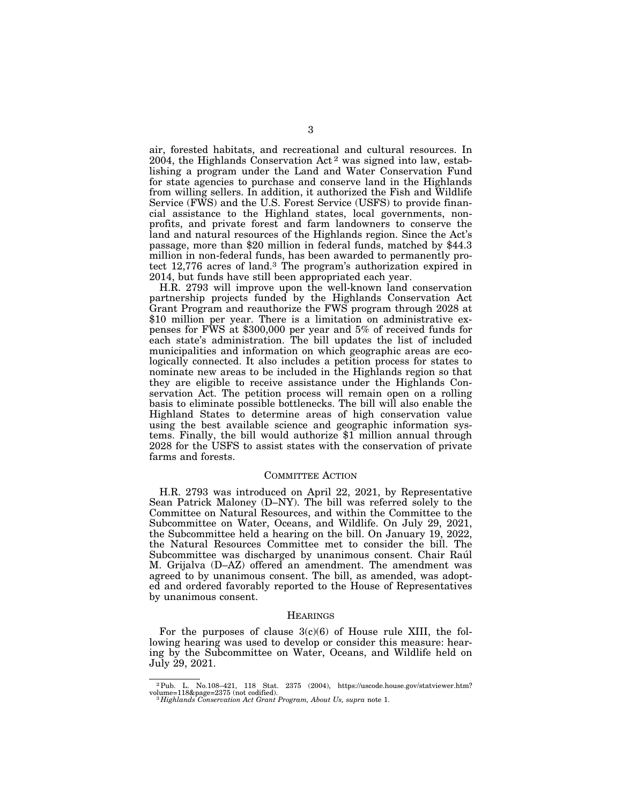air, forested habitats, and recreational and cultural resources. In 2004, the Highlands Conservation Act 2 was signed into law, establishing a program under the Land and Water Conservation Fund for state agencies to purchase and conserve land in the Highlands from willing sellers. In addition, it authorized the Fish and Wildlife Service (FWS) and the U.S. Forest Service (USFS) to provide financial assistance to the Highland states, local governments, nonprofits, and private forest and farm landowners to conserve the land and natural resources of the Highlands region. Since the Act's passage, more than \$20 million in federal funds, matched by \$44.3 million in non-federal funds, has been awarded to permanently protect 12,776 acres of land.3 The program's authorization expired in 2014, but funds have still been appropriated each year.

H.R. 2793 will improve upon the well-known land conservation partnership projects funded by the Highlands Conservation Act Grant Program and reauthorize the FWS program through 2028 at \$10 million per year. There is a limitation on administrative expenses for FWS at \$300,000 per year and 5% of received funds for each state's administration. The bill updates the list of included municipalities and information on which geographic areas are ecologically connected. It also includes a petition process for states to nominate new areas to be included in the Highlands region so that they are eligible to receive assistance under the Highlands Conservation Act. The petition process will remain open on a rolling basis to eliminate possible bottlenecks. The bill will also enable the Highland States to determine areas of high conservation value using the best available science and geographic information systems. Finally, the bill would authorize \$1 million annual through 2028 for the USFS to assist states with the conservation of private farms and forests.

## COMMITTEE ACTION

H.R. 2793 was introduced on April 22, 2021, by Representative Sean Patrick Maloney (D–NY). The bill was referred solely to the Committee on Natural Resources, and within the Committee to the Subcommittee on Water, Oceans, and Wildlife. On July 29, 2021, the Subcommittee held a hearing on the bill. On January 19, 2022, the Natural Resources Committee met to consider the bill. The Subcommittee was discharged by unanimous consent. Chair Rau M. Grijalva (D–AZ) offered an amendment. The amendment was agreed to by unanimous consent. The bill, as amended, was adopted and ordered favorably reported to the House of Representatives by unanimous consent.

## **HEARINGS**

For the purposes of clause  $3(c)(6)$  of House rule XIII, the following hearing was used to develop or consider this measure: hearing by the Subcommittee on Water, Oceans, and Wildlife held on July 29, 2021.

<sup>2</sup>Pub. L. No.108–421, 118 Stat. 2375 (2004), https://uscode.house.gov/statviewer.htm? volume=118&page=2375 (not codified). 3 *Highlands Conservation Act Grant Program, About Us, supra* note 1.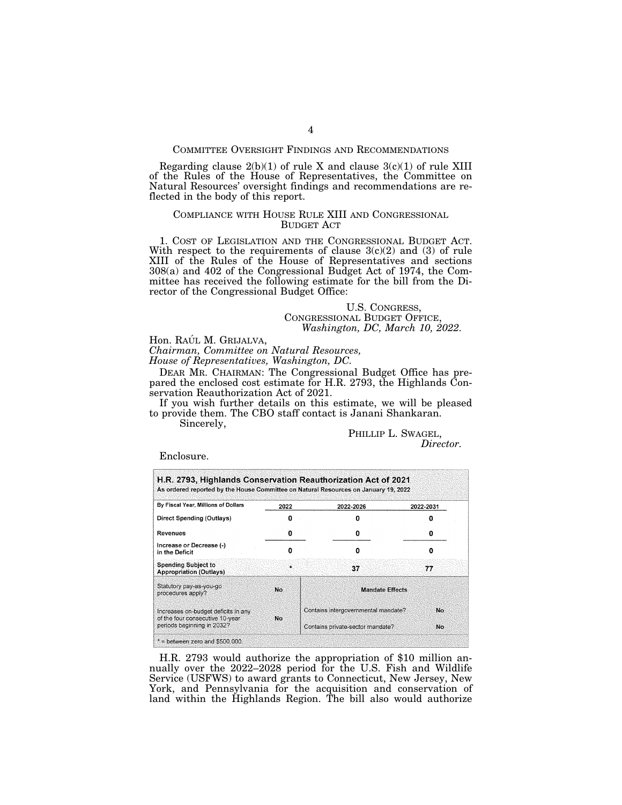## COMMITTEE OVERSIGHT FINDINGS AND RECOMMENDATIONS

Regarding clause  $2(b)(1)$  of rule X and clause  $3(c)(1)$  of rule XIII of the Rules of the House of Representatives, the Committee on Natural Resources' oversight findings and recommendations are reflected in the body of this report.

## COMPLIANCE WITH HOUSE RULE XIII AND CONGRESSIONAL BUDGET ACT

1. COST OF LEGISLATION AND THE CONGRESSIONAL BUDGET ACT. With respect to the requirements of clause  $3(c)(2)$  and (3) of rule XIII of the Rules of the House of Representatives and sections 308(a) and 402 of the Congressional Budget Act of 1974, the Committee has received the following estimate for the bill from the Director of the Congressional Budget Office:

U.S. CONGRESS, CONGRESSIONAL BUDGET OFFICE, *Washington, DC, March 10, 2022.* 

Hon. RAÚL M. GRIJALVA,

*Chairman, Committee on Natural Resources,* 

*House of Representatives, Washington, DC.* 

DEAR MR. CHAIRMAN: The Congressional Budget Office has prepared the enclosed cost estimate for H.R. 2793, the Highlands Conservation Reauthorization Act of 2021.

If you wish further details on this estimate, we will be pleased to provide them. The CBO staff contact is Janani Shankaran.

Sincerely,

PHILLIP L. SWAGEL, *Director.* 

Enclosure.

| By Fiscal Year, Millions of Dollars                                    | 2022         | 2022-2026                           | 2022-2031 |  |  |
|------------------------------------------------------------------------|--------------|-------------------------------------|-----------|--|--|
| <b>Direct Spending (Outlays)</b>                                       |              |                                     |           |  |  |
| Revenues                                                               | o            | o                                   |           |  |  |
| Increase or Decrease (-)<br>in the Deficit                             | n            | o                                   |           |  |  |
| <b>Spending Subject to</b><br><b>Appropriation (Outlays)</b>           | $\mathbf{u}$ | 37                                  | 77        |  |  |
| Statutory pay-as-you-go<br>procedures apply?                           | No           | <b>Mandate Effects</b>              |           |  |  |
| Increases on-budget deficits in any<br>of the four consecutive 10-year | No           | Contains intergovernmental mandate? | No.       |  |  |
| periods beginning in 2032?                                             |              | Contains private-sector mandate?    | <b>No</b> |  |  |

H.R. 2793 would authorize the appropriation of \$10 million annually over the 2022–2028 period for the U.S. Fish and Wildlife Service (USFWS) to award grants to Connecticut, New Jersey, New York, and Pennsylvania for the acquisition and conservation of land within the Highlands Region. The bill also would authorize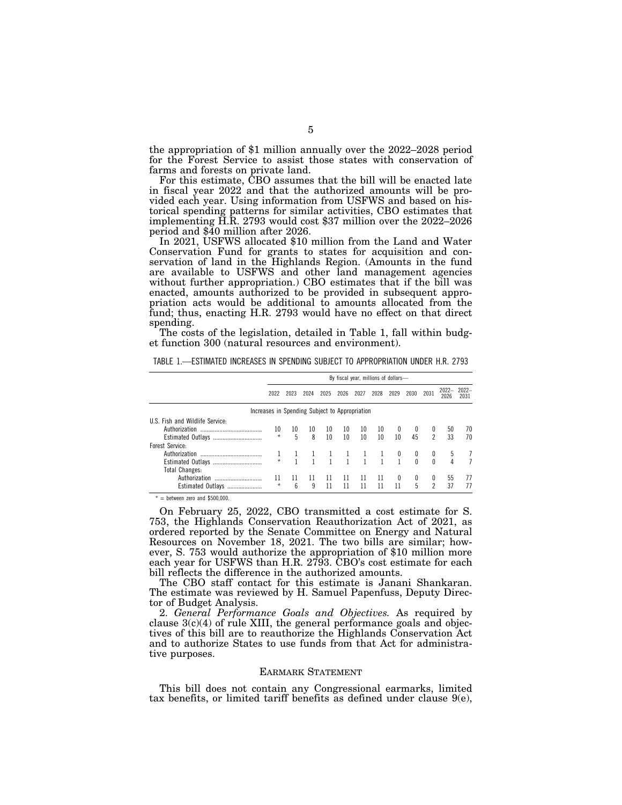the appropriation of \$1 million annually over the 2022–2028 period for the Forest Service to assist those states with conservation of farms and forests on private land.

For this estimate, CBO assumes that the bill will be enacted late in fiscal year 2022 and that the authorized amounts will be provided each year. Using information from USFWS and based on historical spending patterns for similar activities, CBO estimates that implementing H.R. 2793 would cost \$37 million over the 2022–2026

In 2021, USFWS allocated \$10 million from the Land and Water Conservation Fund for grants to states for acquisition and conservation of land in the Highlands Region. (Amounts in the fund are available to USFWS and other land management agencies without further appropriation.) CBO estimates that if the bill was enacted, amounts authorized to be provided in subsequent appropriation acts would be additional to amounts allocated from the fund; thus, enacting H.R. 2793 would have no effect on that direct spending.

The costs of the legislation, detailed in Table 1, fall within budget function 300 (natural resources and environment).

|                                 | By fiscal year, millions of dollars- |      |                                                |                  |              |      |             |                         |          |                |      |                    |
|---------------------------------|--------------------------------------|------|------------------------------------------------|------------------|--------------|------|-------------|-------------------------|----------|----------------|------|--------------------|
|                                 | 2022                                 | 2023 | 2024                                           | 2025             | 2026         | 2027 | 2028        | 2029                    | 2030     | 2031           | 2026 | 2022-2022-<br>2031 |
|                                 |                                      |      | Increases in Spending Subject to Appropriation |                  |              |      |             |                         |          |                |      |                    |
| U.S. Fish and Wildlife Service: |                                      |      |                                                |                  |              |      |             |                         |          |                |      |                    |
|                                 | 10                                   | 10   | 10                                             | 10 <sup>°</sup>  | 10           | 10   | 10          |                         |          | $\bf{0}$       | 50   | 70                 |
|                                 | $\star$                              | 5    | 8                                              | 10 <sup>10</sup> | 10           | 10   | 10          | 10                      | 45       | $\mathfrak{p}$ | 33   | 70                 |
| Forest Service:                 |                                      |      |                                                |                  |              |      |             |                         |          |                |      |                    |
|                                 |                                      |      |                                                |                  |              |      |             | $\overline{\mathbf{0}}$ | 0        | 0              |      |                    |
|                                 | $\star$                              |      |                                                |                  | $\mathbf{1}$ |      | $1 \quad 1$ | $\overline{1}$          | $\Omega$ | $\Omega$       | 4    |                    |
| <b>Total Changes:</b>           |                                      |      |                                                |                  |              |      |             |                         |          |                |      |                    |
| Authorization                   | 11                                   | 11   | 11                                             | 11               | 11           | -11  | -11         | 0                       | 0        | 0              | 55   | 77                 |
| Estimated Outlays               | $\star$                              | ĥ    | 9                                              | 11               | 11           | 11   | 11          | 11                      | 5        | $\mathcal{P}$  | 37   | 77                 |

TABLE 1.—ESTIMATED INCREASES IN SPENDING SUBJECT TO APPROPRIATION UNDER H.R. 2793

 $=$  between zero and \$500,000

On February 25, 2022, CBO transmitted a cost estimate for S. 753, the Highlands Conservation Reauthorization Act of 2021, as ordered reported by the Senate Committee on Energy and Natural Resources on November 18, 2021. The two bills are similar; however, S. 753 would authorize the appropriation of \$10 million more each year for USFWS than H.R. 2793. CBO's cost estimate for each bill reflects the difference in the authorized amounts.

The CBO staff contact for this estimate is Janani Shankaran. The estimate was reviewed by H. Samuel Papenfuss, Deputy Director of Budget Analysis.

2. *General Performance Goals and Objectives.* As required by clause 3(c)(4) of rule XIII, the general performance goals and objectives of this bill are to reauthorize the Highlands Conservation Act and to authorize States to use funds from that Act for administrative purposes.

#### EARMARK STATEMENT

This bill does not contain any Congressional earmarks, limited tax benefits, or limited tariff benefits as defined under clause  $9(e)$ ,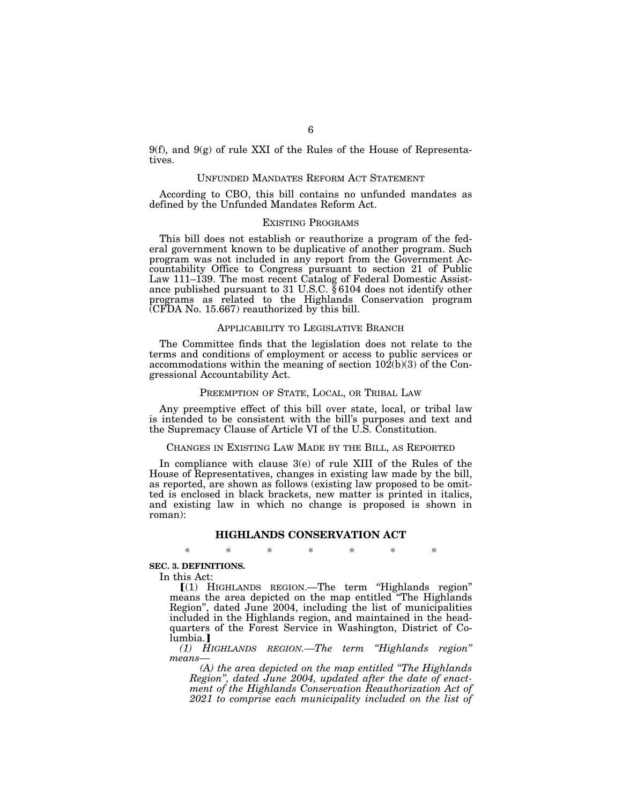9(f), and  $9(g)$  of rule XXI of the Rules of the House of Representatives.

# UNFUNDED MANDATES REFORM ACT STATEMENT

According to CBO, this bill contains no unfunded mandates as defined by the Unfunded Mandates Reform Act.

## EXISTING PROGRAMS

This bill does not establish or reauthorize a program of the federal government known to be duplicative of another program. Such program was not included in any report from the Government Accountability Office to Congress pursuant to section 21 of Public Law 111–139. The most recent Catalog of Federal Domestic Assistance published pursuant to 31 U.S.C. § 6104 does not identify other programs as related to the Highlands Conservation program (CFDA No. 15.667) reauthorized by this bill.

## APPLICABILITY TO LEGISLATIVE BRANCH

The Committee finds that the legislation does not relate to the terms and conditions of employment or access to public services or accommodations within the meaning of section  $10\overline{2}(b)(3)$  of the Congressional Accountability Act.

# PREEMPTION OF STATE, LOCAL, OR TRIBAL LAW

Any preemptive effect of this bill over state, local, or tribal law is intended to be consistent with the bill's purposes and text and the Supremacy Clause of Article VI of the U.S. Constitution.

## CHANGES IN EXISTING LAW MADE BY THE BILL, AS REPORTED

In compliance with clause 3(e) of rule XIII of the Rules of the House of Representatives, changes in existing law made by the bill, as reported, are shown as follows (existing law proposed to be omitted is enclosed in black brackets, new matter is printed in italics, and existing law in which no change is proposed is shown in roman):

#### **HIGHLANDS CONSERVATION ACT**

\* \* \* \* \* \* \*

## **SEC. 3. DEFINITIONS.**

In this Act:

 $[(1)$  HIGHLANDS REGION.—The term "Highlands region" means the area depicted on the map entitled "The Highlands Region'', dated June 2004, including the list of municipalities included in the Highlands region, and maintained in the headquarters of the Forest Service in Washington, District of Columbia.<sup>1</sup>

*(1) HIGHLANDS REGION.—The term ''Highlands region'' means—* 

*(A) the area depicted on the map entitled ''The Highlands Region'', dated June 2004, updated after the date of enactment of the Highlands Conservation Reauthorization Act of 2021 to comprise each municipality included on the list of*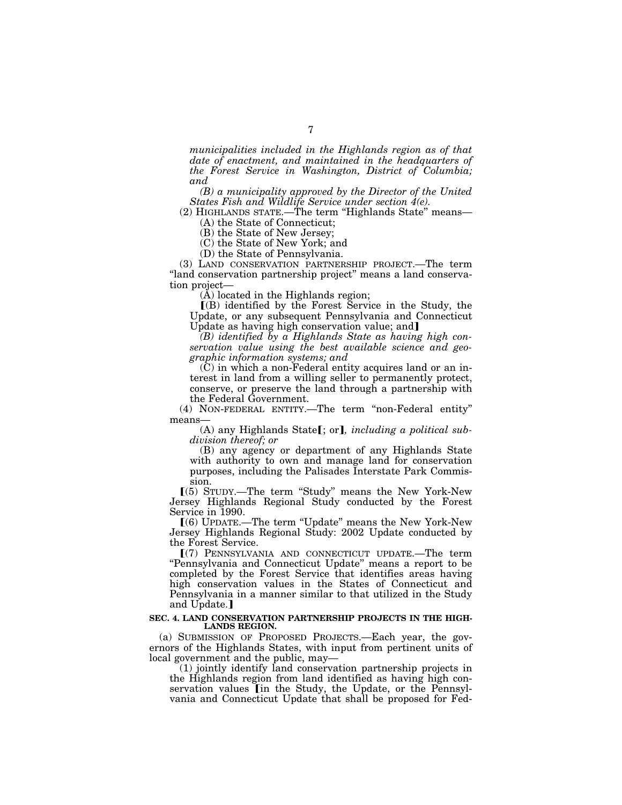*municipalities included in the Highlands region as of that date of enactment, and maintained in the headquarters of the Forest Service in Washington, District of Columbia; and* 

*(B) a municipality approved by the Director of the United States Fish and Wildlife Service under section 4(e).* 

(2) HIGHLANDS STATE.—The term ''Highlands State'' means— (A) the State of Connecticut;

(B) the State of New Jersey;

(C) the State of New York; and

(D) the State of Pennsylvania.

(3) LAND CONSERVATION PARTNERSHIP PROJECT.—The term ''land conservation partnership project'' means a land conservation project—

 $(A)$  located in the Highlands region;

 $($ B) identified by the Forest Service in the Study, the Update, or any subsequent Pennsylvania and Connecticut Update as having high conservation value; and

*(B) identified by a Highlands State as having high conservation value using the best available science and geographic information systems; and* 

 $(C)$  in which a non-Federal entity acquires land or an interest in land from a willing seller to permanently protect, conserve, or preserve the land through a partnership with the Federal Government.

(4) NON-FEDERAL ENTITY.—The term ''non-Federal entity'' means—

(A) any Highlands State<sup>[</sup>; or], *including a political subdivision thereof; or* 

(B) any agency or department of any Highlands State with authority to own and manage land for conservation purposes, including the Palisades Interstate Park Commission.

ø(5) STUDY.—The term ''Study'' means the New York-New Jersey Highlands Regional Study conducted by the Forest Service in 1990.

ø(6) UPDATE.—The term ''Update'' means the New York-New Jersey Highlands Regional Study: 2002 Update conducted by the Forest Service.

ø(7) PENNSYLVANIA AND CONNECTICUT UPDATE.—The term ''Pennsylvania and Connecticut Update'' means a report to be completed by the Forest Service that identifies areas having high conservation values in the States of Connecticut and Pennsylvania in a manner similar to that utilized in the Study and Update.]

#### **SEC. 4. LAND CONSERVATION PARTNERSHIP PROJECTS IN THE HIGH-LANDS REGION.**

(a) SUBMISSION OF PROPOSED PROJECTS.—Each year, the governors of the Highlands States, with input from pertinent units of local government and the public, may—

(1) jointly identify land conservation partnership projects in the Highlands region from land identified as having high conservation values in the Study, the Update, or the Pennsylvania and Connecticut Update that shall be proposed for Fed-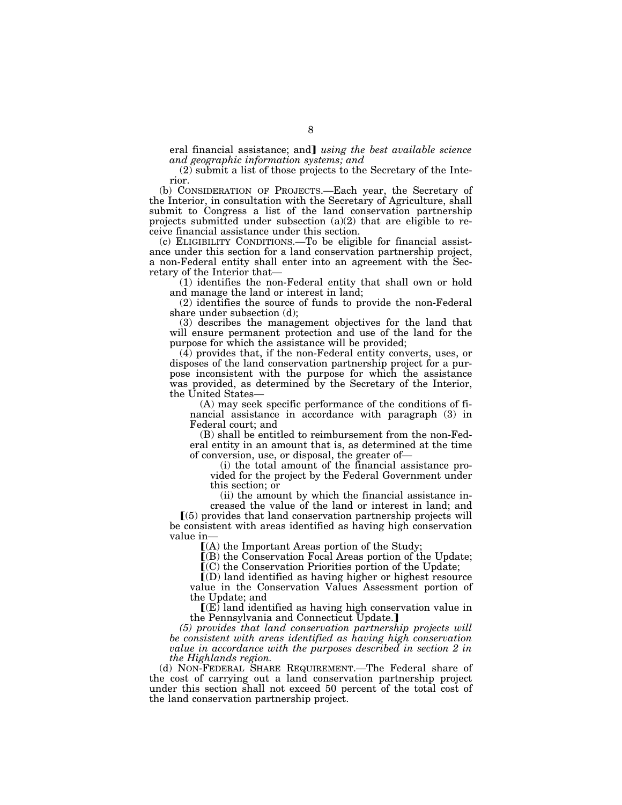eral financial assistance; and *using the best available science and geographic information systems; and* 

(2) submit a list of those projects to the Secretary of the Interior.

(b) CONSIDERATION OF PROJECTS.—Each year, the Secretary of the Interior, in consultation with the Secretary of Agriculture, shall submit to Congress a list of the land conservation partnership projects submitted under subsection (a)(2) that are eligible to receive financial assistance under this section.

(c) ELIGIBILITY CONDITIONS.—To be eligible for financial assistance under this section for a land conservation partnership project, a non-Federal entity shall enter into an agreement with the Secretary of the Interior that—

(1) identifies the non-Federal entity that shall own or hold and manage the land or interest in land;

(2) identifies the source of funds to provide the non-Federal share under subsection (d);

(3) describes the management objectives for the land that will ensure permanent protection and use of the land for the purpose for which the assistance will be provided;

 $(4)$  provides that, if the non-Federal entity converts, uses, or disposes of the land conservation partnership project for a purpose inconsistent with the purpose for which the assistance was provided, as determined by the Secretary of the Interior, the United States—

(A) may seek specific performance of the conditions of financial assistance in accordance with paragraph (3) in Federal court; and

(B) shall be entitled to reimbursement from the non-Federal entity in an amount that is, as determined at the time of conversion, use, or disposal, the greater of—

(i) the total amount of the financial assistance provided for the project by the Federal Government under this section; or

(ii) the amount by which the financial assistance increased the value of the land or interest in land; and  $(5)$  provides that land conservation partnership projects will be consistent with areas identified as having high conservation value in—

 $(A)$  the Important Areas portion of the Study;

ø(B) the Conservation Focal Areas portion of the Update;

 $\mathbf{C}(\mathbf{C})$  the Conservation Priorities portion of the Update;

 $(D)$  land identified as having higher or highest resource value in the Conservation Values Assessment portion of the Update; and

 $\mathbf{I}(\mathbf{E})$  land identified as having high conservation value in the Pennsylvania and Connecticut Update.

*(5) provides that land conservation partnership projects will be consistent with areas identified as having high conservation value in accordance with the purposes described in section 2 in the Highlands region.* 

(d) NON-FEDERAL SHARE REQUIREMENT.—The Federal share of the cost of carrying out a land conservation partnership project under this section shall not exceed 50 percent of the total cost of the land conservation partnership project.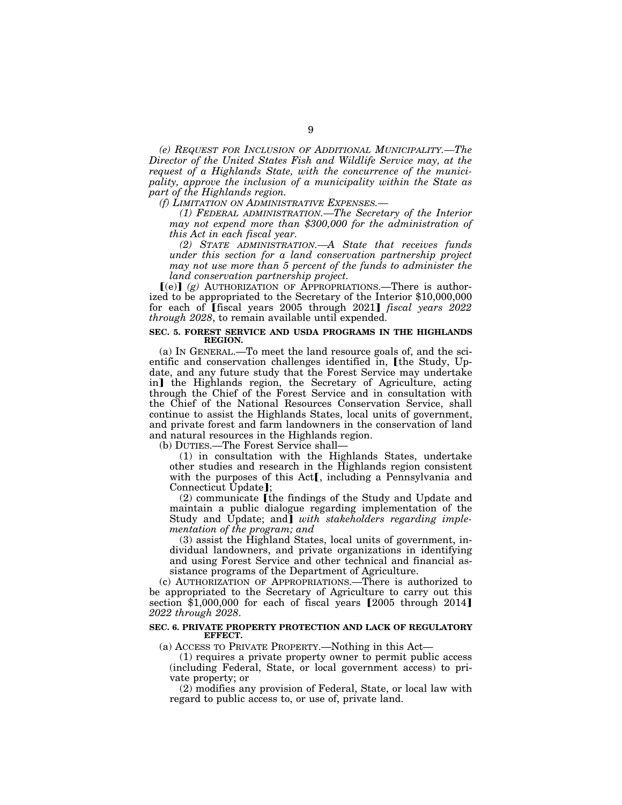*(e) REQUEST FOR INCLUSION OF ADDITIONAL MUNICIPALITY.—The Director of the United States Fish and Wildlife Service may, at the request of a Highlands State, with the concurrence of the municipality, approve the inclusion of a municipality within the State as part of the Highlands region.* 

*(f) LIMITATION ON ADMINISTRATIVE EXPENSES.—* 

*(1) FEDERAL ADMINISTRATION.—The Secretary of the Interior may not expend more than \$300,000 for the administration of this Act in each fiscal year.* 

*(2) STATE ADMINISTRATION.—A State that receives funds under this section for a land conservation partnership project may not use more than 5 percent of the funds to administer the land conservation partnership project.* 

 $\lceil (e) \rceil$  (g) AUTHORIZATION OF APPROPRIATIONS.—There is authorized to be appropriated to the Secretary of the Interior \$10,000,000 for each of [fiscal years 2005 through 2021] *fiscal years 2022 through 2028*, to remain available until expended.

## **SEC. 5. FOREST SERVICE AND USDA PROGRAMS IN THE HIGHLANDS REGION.**

(a) IN GENERAL.—To meet the land resource goals of, and the scientific and conservation challenges identified in, [the Study, Update, and any future study that the Forest Service may undertake in] the Highlands region, the Secretary of Agriculture, acting through the Chief of the Forest Service and in consultation with the Chief of the National Resources Conservation Service, shall continue to assist the Highlands States, local units of government, and private forest and farm landowners in the conservation of land and natural resources in the Highlands region.

(b) DUTIES.—The Forest Service shall—

(1) in consultation with the Highlands States, undertake other studies and research in the Highlands region consistent with the purposes of this  $Act$ , including a Pennsylvania and Connecticut Update];

 $(2)$  communicate [the findings of the Study and Update and maintain a public dialogue regarding implementation of the Study and Update; and *with* stakeholders regarding imple*mentation of the program; and* 

(3) assist the Highland States, local units of government, individual landowners, and private organizations in identifying and using Forest Service and other technical and financial assistance programs of the Department of Agriculture.

(c) AUTHORIZATION OF APPROPRIATIONS.—There is authorized to be appropriated to the Secretary of Agriculture to carry out this section  $\overline{1,000,000}$  for each of fiscal years  $\overline{2005}$  through 2014 *2022 through 2028*.

## **SEC. 6. PRIVATE PROPERTY PROTECTION AND LACK OF REGULATORY EFFECT.**

(a) ACCESS TO PRIVATE PROPERTY.—Nothing in this Act—

(1) requires a private property owner to permit public access (including Federal, State, or local government access) to private property; or

(2) modifies any provision of Federal, State, or local law with regard to public access to, or use of, private land.